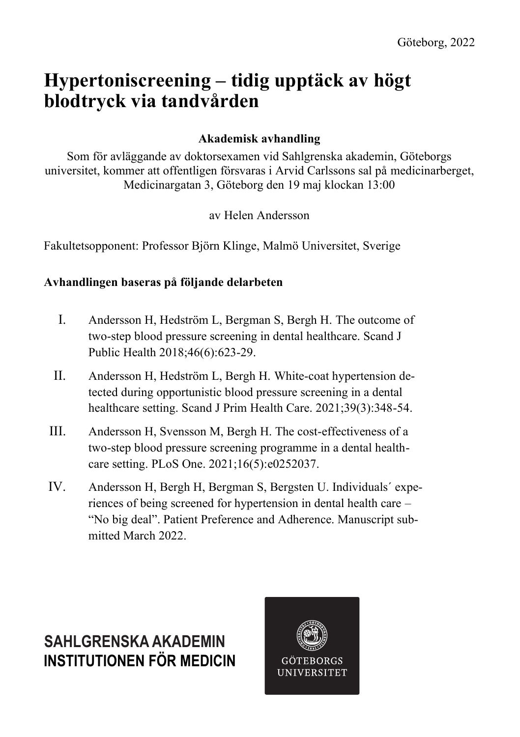# **Hypertoniscreening – tidig upptäck av högt blodtryck via tandvården**

### **Akademisk avhandling**

Som för avläggande av doktorsexamen vid Sahlgrenska akademin, Göteborgs universitet, kommer att offentligen försvaras i Arvid Carlssons sal på medicinarberget, Medicinargatan 3, Göteborg den 19 maj klockan 13:00

av Helen Andersson

Fakultetsopponent: Professor Björn Klinge, Malmö Universitet, Sverige

#### **Avhandlingen baseras på följande delarbeten**

- I. Andersson H, Hedström L, Bergman S, Bergh H. The outcome of two-step blood pressure screening in dental healthcare. Scand J Public Health 2018;46(6):623-29.
- II. Andersson H, Hedström L, Bergh H. White-coat hypertension detected during opportunistic blood pressure screening in a dental healthcare setting. Scand J Prim Health Care. 2021;39(3):348-54.
- III. Andersson H, Svensson M, Bergh H. The cost-effectiveness of a two-step blood pressure screening programme in a dental healthcare setting. PLoS One. 2021;16(5):e0252037.
- IV. Andersson H, Bergh H, Bergman S, Bergsten U. Individuals´ experiences of being screened for hypertension in dental health care – "No big deal". Patient Preference and Adherence. Manuscript submitted March 2022.

## **INSTITUTIONEN FÖR MEDICIN SAHLGRENSKA AKADEMIN**